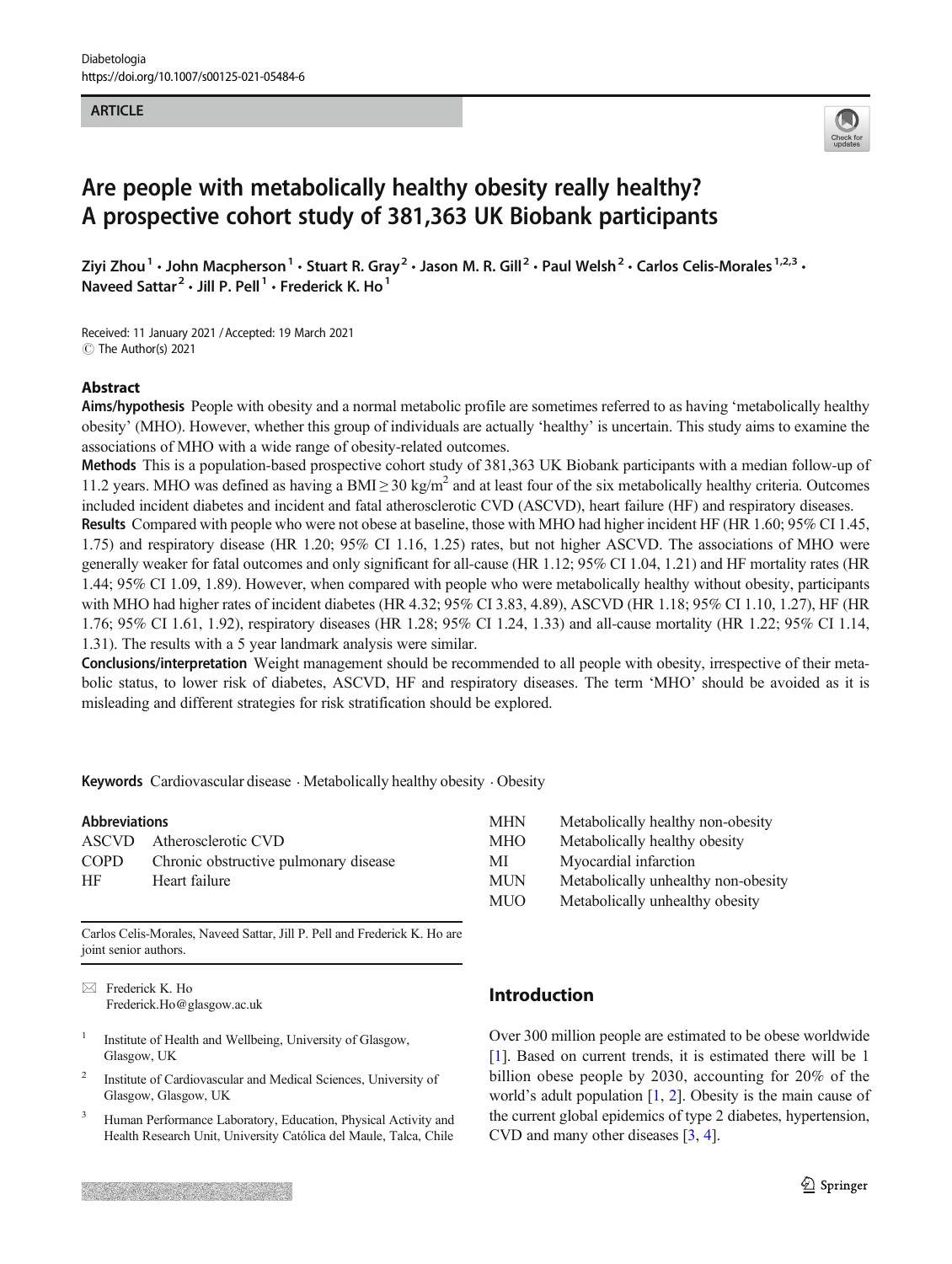### **ARTICLE**



# Are people with metabolically healthy obesity really healthy? A prospective cohort study of 381,363 UK Biobank participants

Ziyi Zhou<sup>1</sup> • John Macpherson<sup>1</sup> • Stuart R. Gray<sup>2</sup> • Jason M. R. Gill<sup>2</sup> • Paul Welsh<sup>2</sup> • Carlos Celis-Morales<sup>1,2,3</sup> • Naveed Sattar<sup>2</sup>  $\cdot$  Jill P. Pell<sup>1</sup>  $\cdot$  Frederick K. Ho<sup>1</sup>

Received: 11 January 2021 /Accepted: 19 March 2021 C The Author(s) 2021

### Abstract

Aims/hypothesis People with obesity and a normal metabolic profile are sometimes referred to as having 'metabolically healthy obesity' (MHO). However, whether this group of individuals are actually 'healthy' is uncertain. This study aims to examine the associations of MHO with a wide range of obesity-related outcomes.

Methods This is a population-based prospective cohort study of 381,363 UK Biobank participants with a median follow-up of 11.2 years. MHO was defined as having a BMI  $\geq$  30 kg/m<sup>2</sup> and at least four of the six metabolically healthy criteria. Outcomes included incident diabetes and incident and fatal atherosclerotic CVD (ASCVD), heart failure (HF) and respiratory diseases.

Results Compared with people who were not obese at baseline, those with MHO had higher incident HF (HR 1.60; 95% CI 1.45, 1.75) and respiratory disease (HR 1.20; 95% CI 1.16, 1.25) rates, but not higher ASCVD. The associations of MHO were generally weaker for fatal outcomes and only significant for all-cause (HR 1.12; 95% CI 1.04, 1.21) and HF mortality rates (HR 1.44; 95% CI 1.09, 1.89). However, when compared with people who were metabolically healthy without obesity, participants with MHO had higher rates of incident diabetes (HR 4.32; 95% CI 3.83, 4.89), ASCVD (HR 1.18; 95% CI 1.10, 1.27), HF (HR 1.76; 95% CI 1.61, 1.92), respiratory diseases (HR 1.28; 95% CI 1.24, 1.33) and all-cause mortality (HR 1.22; 95% CI 1.14, 1.31). The results with a 5 year landmark analysis were similar.

Conclusions/interpretation Weight management should be recommended to all people with obesity, irrespective of their metabolic status, to lower risk of diabetes, ASCVD, HF and respiratory diseases. The term 'MHO' should be avoided as it is misleading and different strategies for risk stratification should be explored.

Keywords Cardiovascular disease  $\cdot$  Metabolically healthy obesity  $\cdot$  Obesity

| <b>Abbreviations</b> |                                       | <b>MHN</b> | M  |
|----------------------|---------------------------------------|------------|----|
|                      | ASCVD Atherosclerotic CVD             | <b>MHO</b> | M  |
| COPD                 | Chronic obstructive pulmonary disease | МI         | M۰ |
| НF                   | Heart failure                         | <b>MUN</b> | M  |
|                      |                                       | $\cdots$   |    |

| Metabolically healthy non-obesity   |
|-------------------------------------|
| Metabolically healthy obesity       |
| Myocardial infarction               |
| Metabolically unhealthy non-obesity |
| Metabolically unhealthy obesity     |
|                                     |

Carlos Celis-Morales, Naveed Sattar, Jill P. Pell and Frederick K. Ho are joint senior authors.

 $\boxtimes$  Frederick K. Ho [Frederick.Ho@glasgow.ac.uk](mailto:Frederick.Ho@glasgow.ac.uk)

- <sup>1</sup> Institute of Health and Wellbeing, University of Glasgow, Glasgow, UK
- <sup>2</sup> Institute of Cardiovascular and Medical Sciences, University of Glasgow, Glasgow, UK
- <sup>3</sup> Human Performance Laboratory, Education, Physical Activity and Health Research Unit, University Católica del Maule, Talca, Chile

# Introduction

Over 300 million people are estimated to be obese worldwide [\[1](#page-8-0)]. Based on current trends, it is estimated there will be 1 billion obese people by 2030, accounting for 20% of the world's adult population [\[1](#page-8-0), [2\]](#page-8-0). Obesity is the main cause of the current global epidemics of type 2 diabetes, hypertension, CVD and many other diseases [\[3](#page-8-0), [4](#page-8-0)].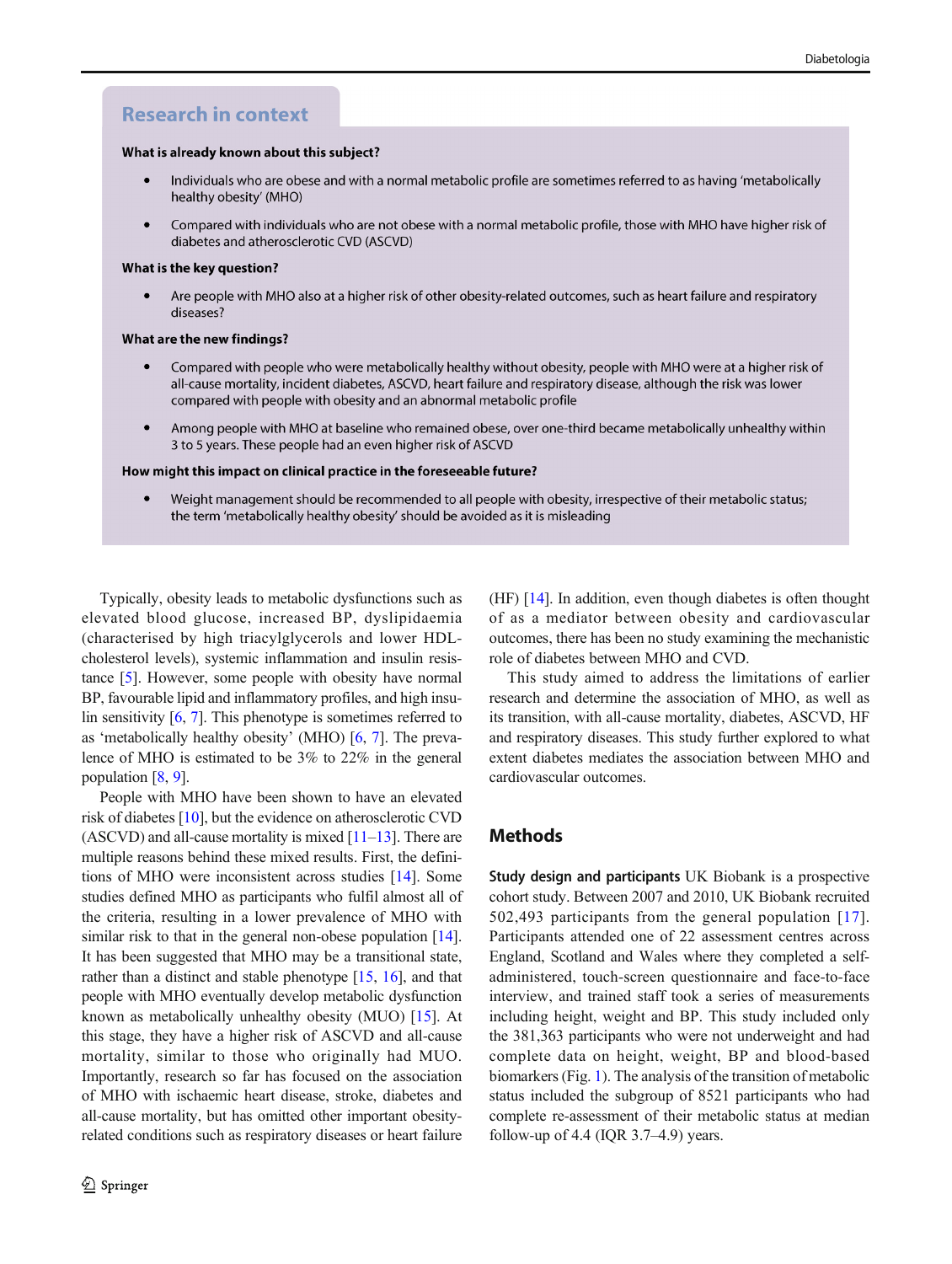# **Research in context**

#### What is already known about this subject?

- Individuals who are obese and with a normal metabolic profile are sometimes referred to as having 'metabolically  $\bullet$ healthy obesity' (MHO)
- Compared with individuals who are not obese with a normal metabolic profile, those with MHO have higher risk of diabetes and atherosclerotic CVD (ASCVD)

#### What is the key question?

Are people with MHO also at a higher risk of other obesity-related outcomes, such as heart failure and respiratory  $\bullet$ diseases?

#### What are the new findings?

- Compared with people who were metabolically healthy without obesity, people with MHO were at a higher risk of all-cause mortality, incident diabetes, ASCVD, heart failure and respiratory disease, although the risk was lower compared with people with obesity and an abnormal metabolic profile
- Among people with MHO at baseline who remained obese, over one-third became metabolically unhealthy within 3 to 5 years. These people had an even higher risk of ASCVD

#### How might this impact on clinical practice in the foreseeable future?

Weight management should be recommended to all people with obesity, irrespective of their metabolic status;  $\bullet$ the term 'metabolically healthy obesity' should be avoided as it is misleading

Typically, obesity leads to metabolic dysfunctions such as elevated blood glucose, increased BP, dyslipidaemia (characterised by high triacylglycerols and lower HDLcholesterol levels), systemic inflammation and insulin resistance [\[5\]](#page-8-0). However, some people with obesity have normal BP, favourable lipid and inflammatory profiles, and high insulin sensitivity  $[6, 7]$  $[6, 7]$  $[6, 7]$  $[6, 7]$ . This phenotype is sometimes referred to as 'metabolically healthy obesity' (MHO) [\[6,](#page-8-0) [7](#page-8-0)]. The prevalence of MHO is estimated to be 3% to 22% in the general population [\[8](#page-9-0), [9](#page-9-0)].

People with MHO have been shown to have an elevated risk of diabetes [[10\]](#page-9-0), but the evidence on atherosclerotic CVD  $(ASCVD)$  and all-cause mortality is mixed  $[11–13]$  $[11–13]$  $[11–13]$  $[11–13]$  $[11–13]$ . There are multiple reasons behind these mixed results. First, the definitions of MHO were inconsistent across studies [\[14](#page-9-0)]. Some studies defined MHO as participants who fulfil almost all of the criteria, resulting in a lower prevalence of MHO with similar risk to that in the general non-obese population [[14\]](#page-9-0). It has been suggested that MHO may be a transitional state, rather than a distinct and stable phenotype [\[15,](#page-9-0) [16\]](#page-9-0), and that people with MHO eventually develop metabolic dysfunction known as metabolically unhealthy obesity (MUO) [\[15](#page-9-0)]. At this stage, they have a higher risk of ASCVD and all-cause mortality, similar to those who originally had MUO. Importantly, research so far has focused on the association of MHO with ischaemic heart disease, stroke, diabetes and all-cause mortality, but has omitted other important obesityrelated conditions such as respiratory diseases or heart failure

(HF) [\[14\]](#page-9-0). In addition, even though diabetes is often thought of as a mediator between obesity and cardiovascular outcomes, there has been no study examining the mechanistic role of diabetes between MHO and CVD.

This study aimed to address the limitations of earlier research and determine the association of MHO, as well as its transition, with all-cause mortality, diabetes, ASCVD, HF and respiratory diseases. This study further explored to what extent diabetes mediates the association between MHO and cardiovascular outcomes.

## Methods

Study design and participants UK Biobank is a prospective cohort study. Between 2007 and 2010, UK Biobank recruited 502,493 participants from the general population [[17](#page-9-0)]. Participants attended one of 22 assessment centres across England, Scotland and Wales where they completed a selfadministered, touch-screen questionnaire and face-to-face interview, and trained staff took a series of measurements including height, weight and BP. This study included only the 381,363 participants who were not underweight and had complete data on height, weight, BP and blood-based biomarkers (Fig. [1\)](#page-2-0). The analysis of the transition of metabolic status included the subgroup of 8521 participants who had complete re-assessment of their metabolic status at median follow-up of 4.4 (IQR  $3.7-4.9$ ) years.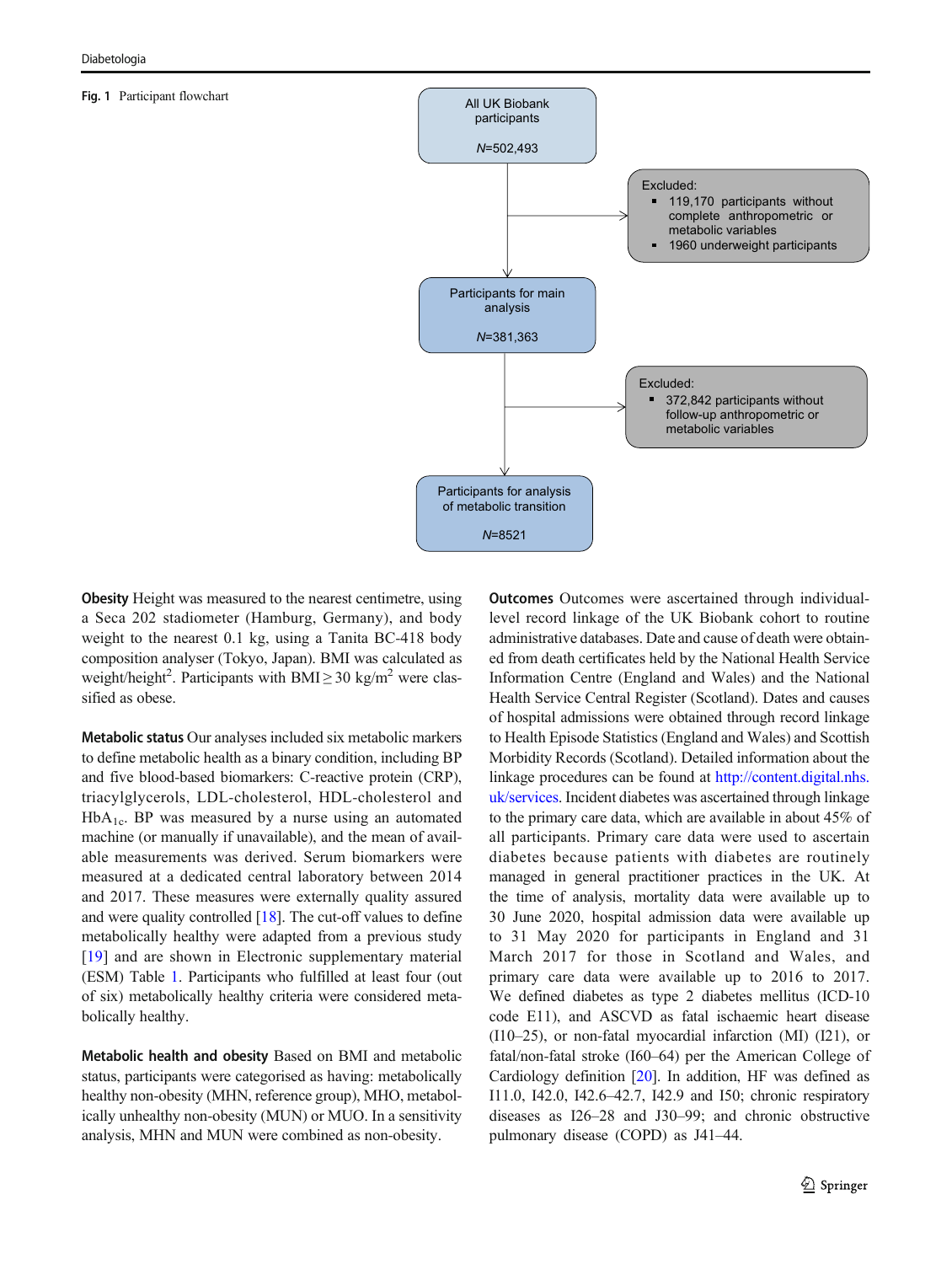#### <span id="page-2-0"></span>Fig. 1 Participant flowchart



Obesity Height was measured to the nearest centimetre, using a Seca 202 stadiometer (Hamburg, Germany), and body weight to the nearest 0.1 kg, using a Tanita BC-418 body composition analyser (Tokyo, Japan). BMI was calculated as weight/height<sup>2</sup>. Participants with BMI $\geq$  30 kg/m<sup>2</sup> were classified as obese.

Metabolic status Our analyses included six metabolic markers to define metabolic health as a binary condition, including BP and five blood-based biomarkers: C-reactive protein (CRP), triacylglycerols, LDL-cholesterol, HDL-cholesterol and  $HbA<sub>1c</sub>$ . BP was measured by a nurse using an automated machine (or manually if unavailable), and the mean of available measurements was derived. Serum biomarkers were measured at a dedicated central laboratory between 2014 and 2017. These measures were externally quality assured and were quality controlled  $[18]$  $[18]$ . The cut-off values to define metabolically healthy were adapted from a previous study [\[19](#page-9-0)] and are shown in Electronic supplementary material (ESM) Table 1. Participants who fulfilled at least four (out of six) metabolically healthy criteria were considered metabolically healthy.

Metabolic health and obesity Based on BMI and metabolic status, participants were categorised as having: metabolically healthy non-obesity (MHN, reference group), MHO, metabolically unhealthy non-obesity (MUN) or MUO. In a sensitivity analysis, MHN and MUN were combined as non-obesity.

Outcomes Outcomes were ascertained through individuallevel record linkage of the UK Biobank cohort to routine administrative databases. Date and cause of death were obtained from death certificates held by the National Health Service Information Centre (England and Wales) and the National Health Service Central Register (Scotland). Dates and causes of hospital admissions were obtained through record linkage to Health Episode Statistics (England and Wales) and Scottish Morbidity Records (Scotland). Detailed information about the linkage procedures can be found at [http://content.digital.nhs.](http://content.digital.nhs.uk/services) [uk/services](http://content.digital.nhs.uk/services). Incident diabetes was ascertained through linkage to the primary care data, which are available in about 45% of all participants. Primary care data were used to ascertain diabetes because patients with diabetes are routinely managed in general practitioner practices in the UK. At the time of analysis, mortality data were available up to 30 June 2020, hospital admission data were available up to 31 May 2020 for participants in England and 31 March 2017 for those in Scotland and Wales, and primary care data were available up to 2016 to 2017. We defined diabetes as type 2 diabetes mellitus (ICD-10 code E11), and ASCVD as fatal ischaemic heart disease (I10–25), or non-fatal myocardial infarction (MI) (I21), or fatal/non-fatal stroke (I60–64) per the American College of Cardiology definition [\[20](#page-9-0)]. In addition, HF was defined as I11.0, I42.0, I42.6–42.7, I42.9 and I50; chronic respiratory diseases as I26–28 and J30–99; and chronic obstructive pulmonary disease (COPD) as J41–44.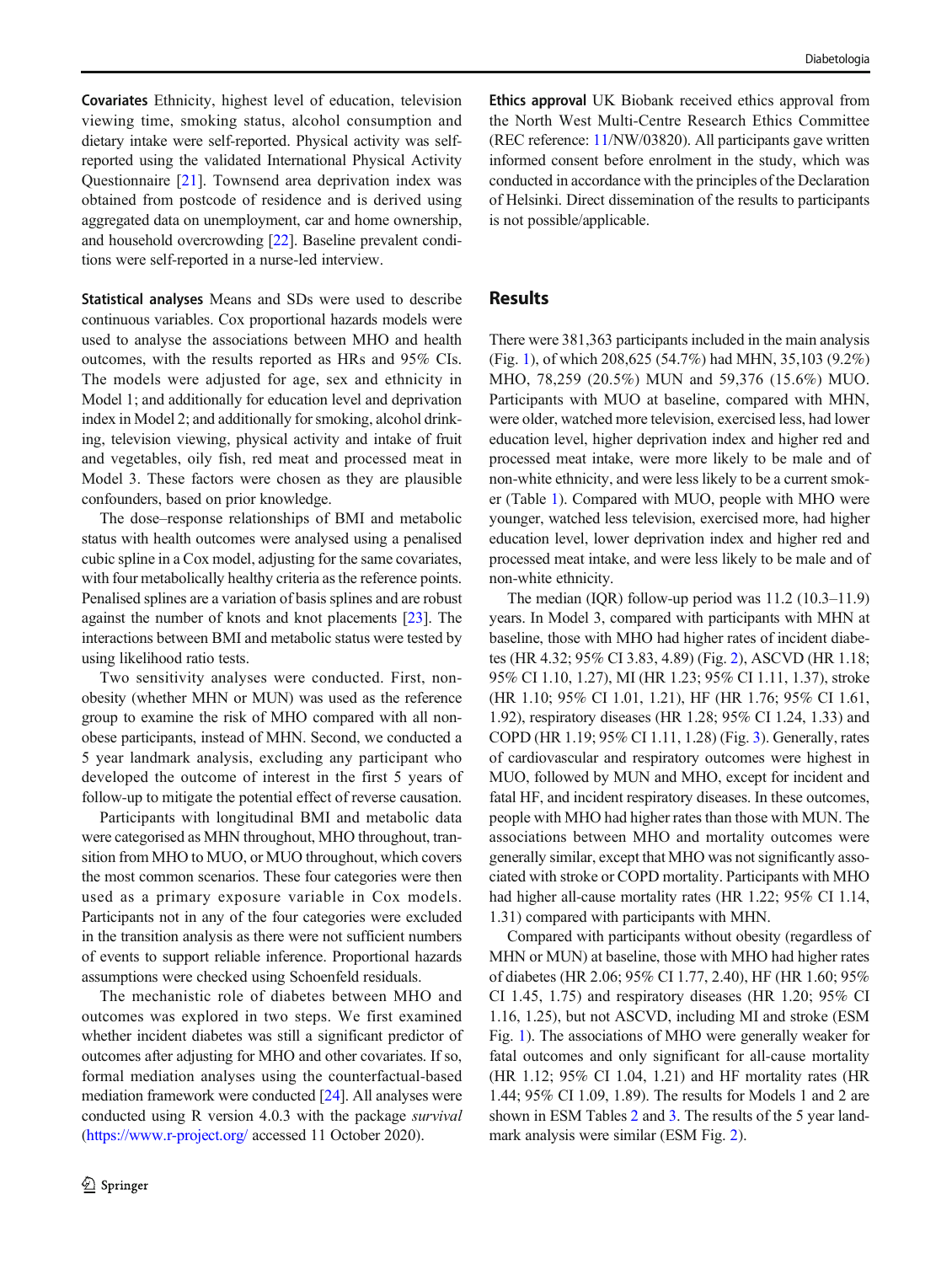Covariates Ethnicity, highest level of education, television viewing time, smoking status, alcohol consumption and dietary intake were self-reported. Physical activity was selfreported using the validated International Physical Activity Questionnaire [[21\]](#page-9-0). Townsend area deprivation index was obtained from postcode of residence and is derived using aggregated data on unemployment, car and home ownership, and household overcrowding [\[22\]](#page-9-0). Baseline prevalent conditions were self-reported in a nurse-led interview.

Statistical analyses Means and SDs were used to describe continuous variables. Cox proportional hazards models were used to analyse the associations between MHO and health outcomes, with the results reported as HRs and 95% CIs. The models were adjusted for age, sex and ethnicity in Model 1; and additionally for education level and deprivation index in Model 2; and additionally for smoking, alcohol drinking, television viewing, physical activity and intake of fruit and vegetables, oily fish, red meat and processed meat in Model 3. These factors were chosen as they are plausible confounders, based on prior knowledge.

The dose–response relationships of BMI and metabolic status with health outcomes were analysed using a penalised cubic spline in a Cox model, adjusting for the same covariates, with four metabolically healthy criteria as the reference points. Penalised splines are a variation of basis splines and are robust against the number of knots and knot placements [\[23\]](#page-9-0). The interactions between BMI and metabolic status were tested by using likelihood ratio tests.

Two sensitivity analyses were conducted. First, nonobesity (whether MHN or MUN) was used as the reference group to examine the risk of MHO compared with all nonobese participants, instead of MHN. Second, we conducted a 5 year landmark analysis, excluding any participant who developed the outcome of interest in the first 5 years of follow-up to mitigate the potential effect of reverse causation.

Participants with longitudinal BMI and metabolic data were categorised as MHN throughout, MHO throughout, transition from MHO to MUO, or MUO throughout, which covers the most common scenarios. These four categories were then used as a primary exposure variable in Cox models. Participants not in any of the four categories were excluded in the transition analysis as there were not sufficient numbers of events to support reliable inference. Proportional hazards assumptions were checked using Schoenfeld residuals.

The mechanistic role of diabetes between MHO and outcomes was explored in two steps. We first examined whether incident diabetes was still a significant predictor of outcomes after adjusting for MHO and other covariates. If so, formal mediation analyses using the counterfactual-based mediation framework were conducted [\[24\]](#page-9-0). All analyses were conducted using R version 4.0.3 with the package survival [\(https://www.r-project.org/](https://www.r-project.org/) accessed 11 October 2020).

Ethics approval UK Biobank received ethics approval from the North West Multi-Centre Research Ethics Committee (REC reference: [11/](#page-9-0)NW/03820). All participants gave written informed consent before enrolment in the study, which was conducted in accordance with the principles of the Declaration of Helsinki. Direct dissemination of the results to participants is not possible/applicable.

### Results

There were 381,363 participants included in the main analysis (Fig. [1\)](#page-2-0), of which 208,625 (54.7%) had MHN, 35,103 (9.2%) MHO, 78,259 (20.5%) MUN and 59,376 (15.6%) MUO. Participants with MUO at baseline, compared with MHN, were older, watched more television, exercised less, had lower education level, higher deprivation index and higher red and processed meat intake, were more likely to be male and of non-white ethnicity, and were less likely to be a current smoker (Table [1\)](#page-4-0). Compared with MUO, people with MHO were younger, watched less television, exercised more, had higher education level, lower deprivation index and higher red and processed meat intake, and were less likely to be male and of non-white ethnicity.

The median (IQR) follow-up period was 11.2 (10.3–11.9) years. In Model 3, compared with participants with MHN at baseline, those with MHO had higher rates of incident diabetes (HR 4.32; 95% CI 3.83, 4.89) (Fig. [2](#page-5-0)), ASCVD (HR 1.18; 95% CI 1.10, 1.27), MI (HR 1.23; 95% CI 1.11, 1.37), stroke (HR 1.10; 95% CI 1.01, 1.21), HF (HR 1.76; 95% CI 1.61, 1.92), respiratory diseases (HR 1.28; 95% CI 1.24, 1.33) and COPD (HR 1.19; 95% CI 1.11, 1.28) (Fig. [3](#page-6-0)). Generally, rates of cardiovascular and respiratory outcomes were highest in MUO, followed by MUN and MHO, except for incident and fatal HF, and incident respiratory diseases. In these outcomes, people with MHO had higher rates than those with MUN. The associations between MHO and mortality outcomes were generally similar, except that MHO was not significantly associated with stroke or COPD mortality. Participants with MHO had higher all-cause mortality rates (HR 1.22; 95% CI 1.14, 1.31) compared with participants with MHN.

Compared with participants without obesity (regardless of MHN or MUN) at baseline, those with MHO had higher rates of diabetes (HR 2.06; 95% CI 1.77, 2.40), HF (HR 1.60; 95% CI 1.45, 1.75) and respiratory diseases (HR 1.20; 95% CI 1.16, 1.25), but not ASCVD, including MI and stroke (ESM Fig. 1). The associations of MHO were generally weaker for fatal outcomes and only significant for all-cause mortality (HR 1.12; 95% CI 1.04, 1.21) and HF mortality rates (HR 1.44; 95% CI 1.09, 1.89). The results for Models 1 and 2 are shown in ESM Tables 2 and 3. The results of the 5 year landmark analysis were similar (ESM Fig. 2).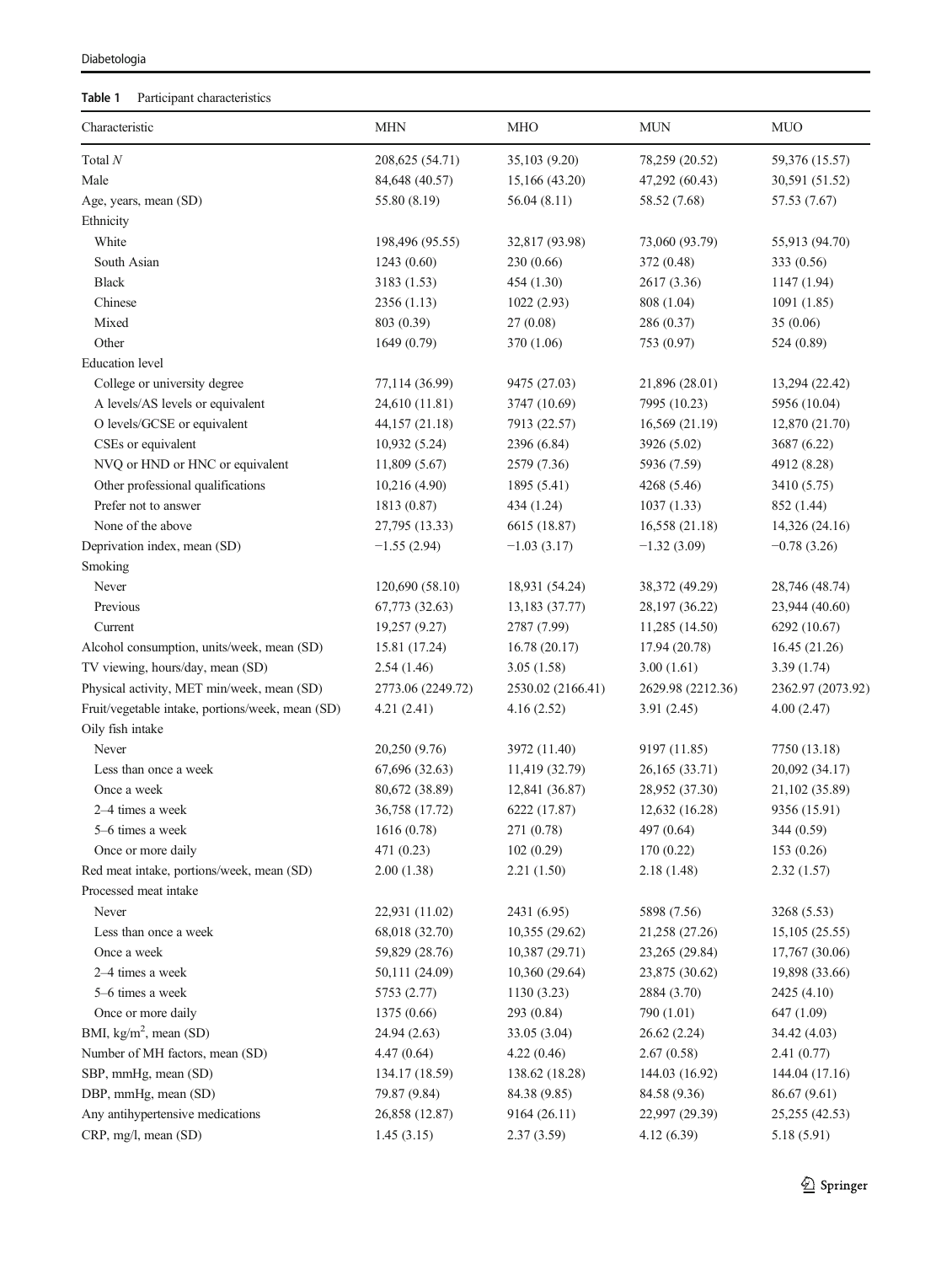### <span id="page-4-0"></span>Diabetologia

# Table 1 Participant characteristics

| Characteristic                                   | <b>MHN</b>        | <b>MHO</b>        | <b>MUN</b>        | <b>MUO</b>        |
|--------------------------------------------------|-------------------|-------------------|-------------------|-------------------|
| Total $N$                                        | 208, 625 (54.71)  | 35,103 (9.20)     | 78,259 (20.52)    | 59,376 (15.57)    |
| Male                                             | 84,648 (40.57)    | 15,166 (43.20)    | 47,292 (60.43)    | 30,591 (51.52)    |
| Age, years, mean (SD)                            | 55.80 (8.19)      | 56.04(8.11)       | 58.52 (7.68)      | 57.53 (7.67)      |
| Ethnicity                                        |                   |                   |                   |                   |
| White                                            | 198,496 (95.55)   | 32,817 (93.98)    | 73,060 (93.79)    | 55,913 (94.70)    |
| South Asian                                      | 1243(0.60)        | 230 (0.66)        | 372 (0.48)        | 333 (0.56)        |
| <b>Black</b>                                     | 3183 (1.53)       | 454 (1.30)        | 2617 (3.36)       | 1147 (1.94)       |
| Chinese                                          | 2356 (1.13)       | 1022(2.93)        | 808 (1.04)        | 1091(1.85)        |
| Mixed                                            | 803 (0.39)        | 27(0.08)          | 286 (0.37)        | 35 (0.06)         |
| Other                                            | 1649 (0.79)       | 370 (1.06)        | 753 (0.97)        | 524 (0.89)        |
| <b>Education</b> level                           |                   |                   |                   |                   |
| College or university degree                     | 77,114 (36.99)    | 9475 (27.03)      | 21,896 (28.01)    | 13,294 (22.42)    |
| A levels/AS levels or equivalent                 | 24,610 (11.81)    | 3747 (10.69)      | 7995 (10.23)      | 5956 (10.04)      |
| O levels/GCSE or equivalent                      | 44,157 (21.18)    | 7913 (22.57)      | 16,569 (21.19)    | 12,870 (21.70)    |
| CSEs or equivalent                               | 10,932 (5.24)     | 2396 (6.84)       | 3926 (5.02)       | 3687 (6.22)       |
| NVQ or HND or HNC or equivalent                  | 11,809 (5.67)     | 2579 (7.36)       | 5936 (7.59)       | 4912 (8.28)       |
| Other professional qualifications                | 10,216 (4.90)     | 1895 (5.41)       | 4268 (5.46)       | 3410 (5.75)       |
| Prefer not to answer                             | 1813 (0.87)       | 434 (1.24)        | 1037(1.33)        | 852 (1.44)        |
| None of the above                                | 27,795 (13.33)    | 6615 (18.87)      | 16,558 (21.18)    | 14,326 (24.16)    |
| Deprivation index, mean (SD)                     | $-1.55(2.94)$     | $-1.03(3.17)$     | $-1.32(3.09)$     | $-0.78(3.26)$     |
| Smoking                                          |                   |                   |                   |                   |
| Never                                            | 120,690 (58.10)   | 18,931 (54.24)    | 38,372 (49.29)    | 28,746 (48.74)    |
| Previous                                         | 67,773 (32.63)    | 13,183 (37.77)    | 28,197 (36.22)    | 23,944 (40.60)    |
| Current                                          | 19,257 (9.27)     | 2787 (7.99)       | 11,285 (14.50)    | 6292 (10.67)      |
| Alcohol consumption, units/week, mean (SD)       | 15.81 (17.24)     | 16.78(20.17)      | 17.94 (20.78)     | 16.45(21.26)      |
| TV viewing, hours/day, mean (SD)                 | 2.54(1.46)        | 3.05(1.58)        | 3.00(1.61)        | 3.39(1.74)        |
| Physical activity, MET min/week, mean (SD)       | 2773.06 (2249.72) | 2530.02 (2166.41) | 2629.98 (2212.36) | 2362.97 (2073.92) |
| Fruit/vegetable intake, portions/week, mean (SD) | 4.21(2.41)        | 4.16(2.52)        | 3.91(2.45)        | 4.00 (2.47)       |
| Oily fish intake                                 |                   |                   |                   |                   |
| Never                                            | 20,250 (9.76)     | 3972 (11.40)      | 9197 (11.85)      | 7750 (13.18)      |
| Less than once a week                            | 67,696 (32.63)    | 11,419 (32.79)    | 26,165 (33.71)    | 20,092 (34.17)    |
| Once a week                                      | 80,672 (38.89)    | 12,841 (36.87)    | 28,952 (37.30)    | 21,102 (35.89)    |
| 2–4 times a week                                 | 36,758 (17.72)    | 6222 (17.87)      | 12,632 (16.28)    | 9356 (15.91)      |
| 5-6 times a week                                 | 1616 (0.78)       | 271 (0.78)        | 497 (0.64)        | 344 (0.59)        |
| Once or more daily                               | 471 (0.23)        | 102(0.29)         | 170 (0.22)        | 153(0.26)         |
| Red meat intake, portions/week, mean (SD)        | 2.00(1.38)        | 2.21(1.50)        | 2.18(1.48)        | 2.32(1.57)        |
| Processed meat intake                            |                   |                   |                   |                   |
| Never                                            | 22,931 (11.02)    | 2431 (6.95)       | 5898 (7.56)       | 3268 (5.53)       |
| Less than once a week                            | 68,018 (32.70)    | 10,355(29.62)     | 21,258 (27.26)    | 15,105(25.55)     |
| Once a week                                      | 59,829 (28.76)    | 10,387 (29.71)    | 23,265 (29.84)    | 17,767 (30.06)    |
| 2-4 times a week                                 | 50,111 (24.09)    | 10,360 (29.64)    | 23,875 (30.62)    | 19,898 (33.66)    |
| 5-6 times a week                                 | 5753 (2.77)       | 1130(3.23)        | 2884 (3.70)       | 2425 (4.10)       |
| Once or more daily                               | 1375 (0.66)       | 293 (0.84)        | 790 (1.01)        | 647 (1.09)        |
| BMI, $kg/m2$ , mean (SD)                         | 24.94 (2.63)      | 33.05 (3.04)      | 26.62 (2.24)      | 34.42 (4.03)      |
| Number of MH factors, mean (SD)                  | 4.47(0.64)        | 4.22(0.46)        | 2.67(0.58)        | 2.41(0.77)        |
| SBP, mmHg, mean (SD)                             | 134.17 (18.59)    | 138.62 (18.28)    | 144.03 (16.92)    | 144.04 (17.16)    |
| DBP, mmHg, mean (SD)                             | 79.87 (9.84)      | 84.38 (9.85)      | 84.58 (9.36)      | 86.67 (9.61)      |
| Any antihypertensive medications                 | 26,858 (12.87)    | 9164 (26.11)      | 22,997 (29.39)    | 25,255 (42.53)    |
| CRP, mg/l, mean (SD)                             | 1.45(3.15)        | 2.37(3.59)        | 4.12 (6.39)       | 5.18(5.91)        |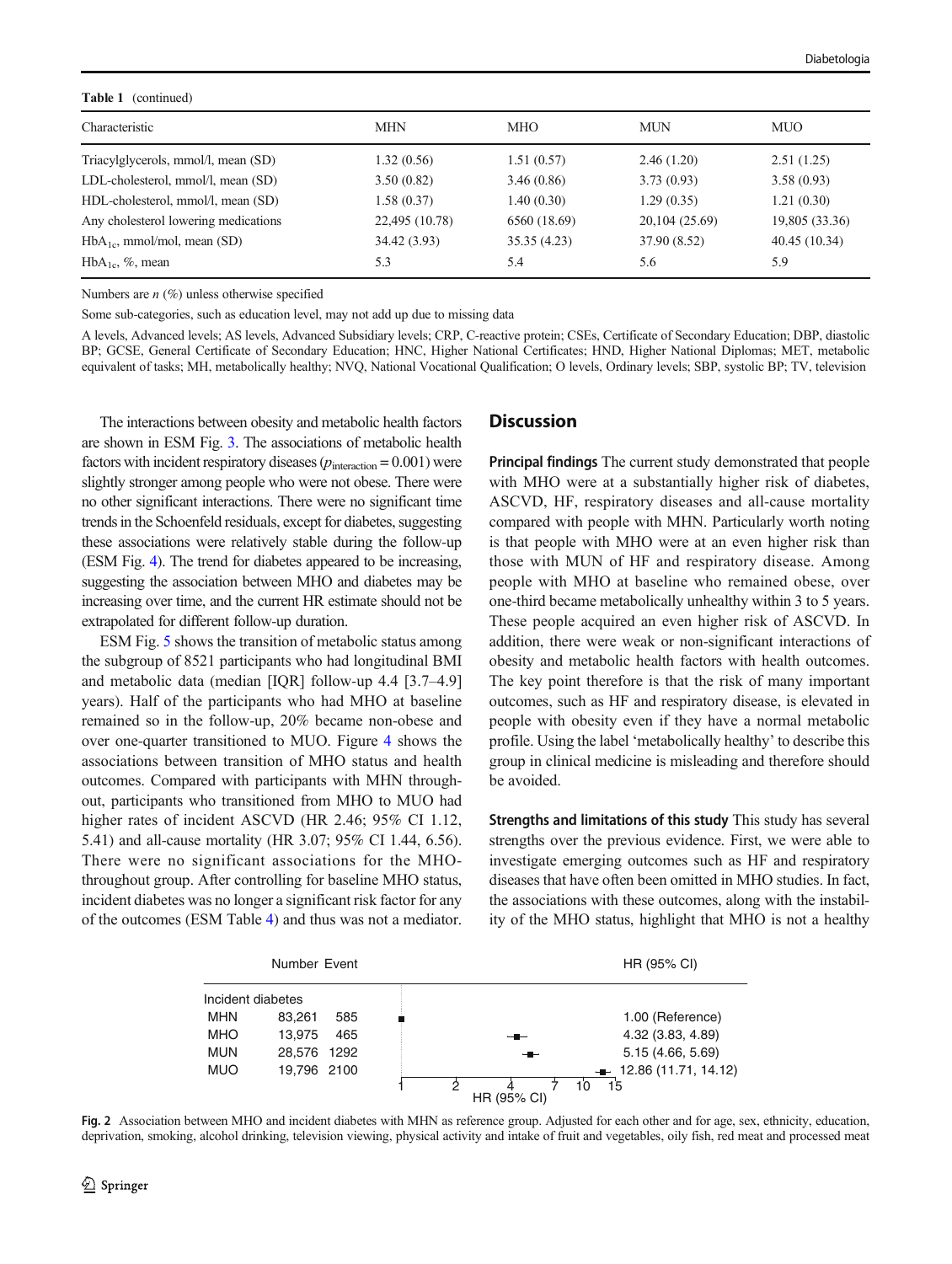<span id="page-5-0"></span>

| <b>Table 1</b> (continued)           |                |              |                |                |  |  |  |
|--------------------------------------|----------------|--------------|----------------|----------------|--|--|--|
| Characteristic                       | <b>MHN</b>     | <b>MHO</b>   | <b>MUN</b>     | <b>MUO</b>     |  |  |  |
| Triacylglycerols, mmol/l, mean (SD)  | 1.32(0.56)     | 1.51(0.57)   | 2.46(1.20)     | 2.51(1.25)     |  |  |  |
| LDL-cholesterol, mmol/l, mean (SD)   | 3.50(0.82)     | 3.46(0.86)   | 3.73(0.93)     | 3.58(0.93)     |  |  |  |
| HDL-cholesterol, mmol/l, mean (SD)   | 1.58 (0.37)    | 1.40(0.30)   | 1.29(0.35)     | 1.21(0.30)     |  |  |  |
| Any cholesterol lowering medications | 22,495 (10.78) | 6560 (18.69) | 20,104 (25.69) | 19,805 (33.36) |  |  |  |
| $HbA_{1c}$ , mmol/mol, mean (SD)     | 34.42 (3.93)   | 35.35(4.23)  | 37.90 (8.52)   | 40.45(10.34)   |  |  |  |
| $HbA_{1c}$ , %, mean                 | 5.3            | 5.4          | 5.6            | 5.9            |  |  |  |

Numbers are  $n$  (%) unless otherwise specified

Some sub-categories, such as education level, may not add up due to missing data

A levels, Advanced levels; AS levels, Advanced Subsidiary levels; CRP, C-reactive protein; CSEs, Certificate of Secondary Education; DBP, diastolic BP; GCSE, General Certificate of Secondary Education; HNC, Higher National Certificates; HND, Higher National Diplomas; MET, metabolic equivalent of tasks; MH, metabolically healthy; NVQ, National Vocational Qualification; O levels, Ordinary levels; SBP, systolic BP; TV, television

The interactions between obesity and metabolic health factors are shown in ESM Fig. 3. The associations of metabolic health factors with incident respiratory diseases ( $p_{\text{interaction}} = 0.001$ ) were slightly stronger among people who were not obese. There were no other significant interactions. There were no significant time trends in the Schoenfeld residuals, except for diabetes, suggesting these associations were relatively stable during the follow-up (ESM Fig. 4). The trend for diabetes appeared to be increasing, suggesting the association between MHO and diabetes may be increasing over time, and the current HR estimate should not be extrapolated for different follow-up duration.

ESM Fig. 5 shows the transition of metabolic status among the subgroup of 8521 participants who had longitudinal BMI and metabolic data (median [IQR] follow-up 4.4 [3.7–4.9] years). Half of the participants who had MHO at baseline remained so in the follow-up, 20% became non-obese and over one-quarter transitioned to MUO. Figure [4](#page-7-0) shows the associations between transition of MHO status and health outcomes. Compared with participants with MHN throughout, participants who transitioned from MHO to MUO had higher rates of incident ASCVD (HR 2.46; 95% CI 1.12, 5.41) and all-cause mortality (HR 3.07; 95% CI 1.44, 6.56). There were no significant associations for the MHOthroughout group. After controlling for baseline MHO status, incident diabetes was no longer a significant risk factor for any of the outcomes (ESM Table 4) and thus was not a mediator.

### **Discussion**

Principal findings The current study demonstrated that people with MHO were at a substantially higher risk of diabetes, ASCVD, HF, respiratory diseases and all-cause mortality compared with people with MHN. Particularly worth noting is that people with MHO were at an even higher risk than those with MUN of HF and respiratory disease. Among people with MHO at baseline who remained obese, over one-third became metabolically unhealthy within 3 to 5 years. These people acquired an even higher risk of ASCVD. In addition, there were weak or non-significant interactions of obesity and metabolic health factors with health outcomes. The key point therefore is that the risk of many important outcomes, such as HF and respiratory disease, is elevated in people with obesity even if they have a normal metabolic profile. Using the label 'metabolically healthy' to describe this group in clinical medicine is misleading and therefore should be avoided.

Strengths and limitations of this study This study has several strengths over the previous evidence. First, we were able to investigate emerging outcomes such as HF and respiratory diseases that have often been omitted in MHO studies. In fact, the associations with these outcomes, along with the instability of the MHO status, highlight that MHO is not a healthy



Fig. 2 Association between MHO and incident diabetes with MHN as reference group. Adjusted for each other and for age, sex, ethnicity, education, deprivation, smoking, alcohol drinking, television viewing, physical activity and intake of fruit and vegetables, oily fish, red meat and processed meat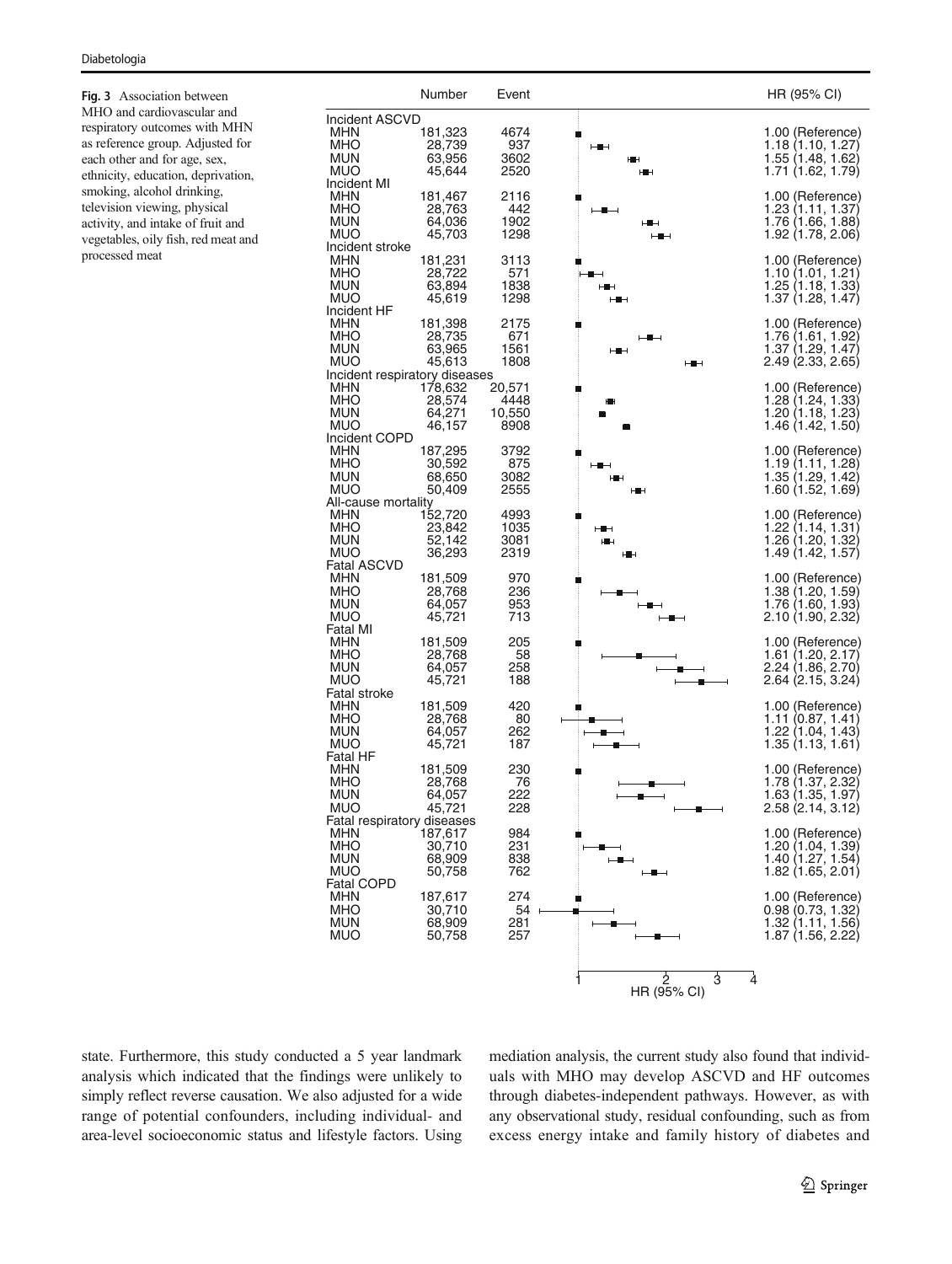MHO and cardiovascular and respiratory outcomes with MHN as reference group. Adjusted for each other and for age, sex, ethnicity, education, deprivation, smoking, alcohol drinking, television viewing, physical activity, and intake of fruit and vegetables, oily fish, red meat and processed meat

<span id="page-6-0"></span>

state. Furthermore, this study conducted a 5 year landmark analysis which indicated that the findings were unlikely to simply reflect reverse causation. We also adjusted for a wide range of potential confounders, including individual- and area-level socioeconomic status and lifestyle factors. Using mediation analysis, the current study also found that individuals with MHO may develop ASCVD and HF outcomes through diabetes-independent pathways. However, as with any observational study, residual confounding, such as from excess energy intake and family history of diabetes and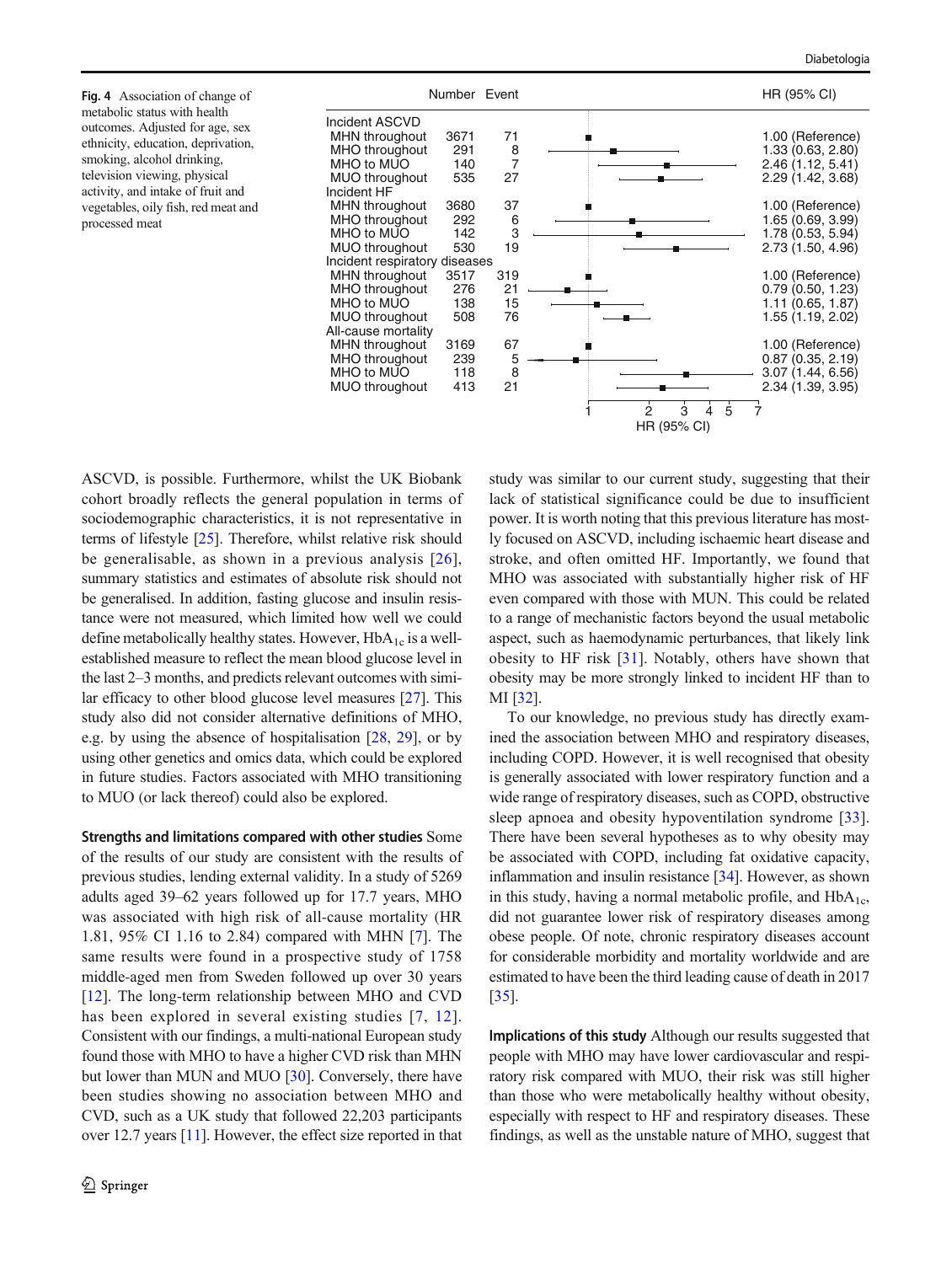metabolic status with health outcomes. Adjusted for age, sex ethnicity, education, deprivation, smoking, alcohol drinking, television viewing, physical activity, and intake of fruit and vegetables, oily fish, red meat and processed meat

<span id="page-7-0"></span>

ASCVD, is possible. Furthermore, whilst the UK Biobank cohort broadly reflects the general population in terms of sociodemographic characteristics, it is not representative in terms of lifestyle [\[25](#page-9-0)]. Therefore, whilst relative risk should be generalisable, as shown in a previous analysis [[26](#page-9-0)], summary statistics and estimates of absolute risk should not be generalised. In addition, fasting glucose and insulin resistance were not measured, which limited how well we could define metabolically healthy states. However,  $HbA_{1c}$  is a wellestablished measure to reflect the mean blood glucose level in the last 2–3 months, and predicts relevant outcomes with similar efficacy to other blood glucose level measures [\[27](#page-9-0)]. This study also did not consider alternative definitions of MHO, e.g. by using the absence of hospitalisation [\[28](#page-9-0), [29](#page-9-0)], or by using other genetics and omics data, which could be explored in future studies. Factors associated with MHO transitioning to MUO (or lack thereof) could also be explored.

Strengths and limitations compared with other studies Some of the results of our study are consistent with the results of previous studies, lending external validity. In a study of 5269 adults aged 39–62 years followed up for 17.7 years, MHO was associated with high risk of all-cause mortality (HR 1.81, 95% CI 1.16 to 2.84) compared with MHN [[7](#page-8-0)]. The same results were found in a prospective study of 1758 middle-aged men from Sweden followed up over 30 years [\[12](#page-9-0)]. The long-term relationship between MHO and CVD has been explored in several existing studies [[7](#page-8-0), [12](#page-9-0)]. Consistent with our findings, a multi-national European study found those with MHO to have a higher CVD risk than MHN but lower than MUN and MUO [\[30](#page-9-0)]. Conversely, there have been studies showing no association between MHO and CVD, such as a UK study that followed 22,203 participants over 12.7 years [\[11\]](#page-9-0). However, the effect size reported in that study was similar to our current study, suggesting that their lack of statistical significance could be due to insufficient power. It is worth noting that this previous literature has mostly focused on ASCVD, including ischaemic heart disease and stroke, and often omitted HF. Importantly, we found that MHO was associated with substantially higher risk of HF even compared with those with MUN. This could be related to a range of mechanistic factors beyond the usual metabolic aspect, such as haemodynamic perturbances, that likely link obesity to HF risk [\[31\]](#page-9-0). Notably, others have shown that obesity may be more strongly linked to incident HF than to MI [[32\]](#page-9-0).

To our knowledge, no previous study has directly examined the association between MHO and respiratory diseases, including COPD. However, it is well recognised that obesity is generally associated with lower respiratory function and a wide range of respiratory diseases, such as COPD, obstructive sleep apnoea and obesity hypoventilation syndrome [\[33](#page-9-0)]. There have been several hypotheses as to why obesity may be associated with COPD, including fat oxidative capacity, inflammation and insulin resistance [[34](#page-9-0)]. However, as shown in this study, having a normal metabolic profile, and  $HbA_{1c}$ , did not guarantee lower risk of respiratory diseases among obese people. Of note, chronic respiratory diseases account for considerable morbidity and mortality worldwide and are estimated to have been the third leading cause of death in 2017 [\[35](#page-9-0)].

Implications of this study Although our results suggested that people with MHO may have lower cardiovascular and respiratory risk compared with MUO, their risk was still higher than those who were metabolically healthy without obesity, especially with respect to HF and respiratory diseases. These findings, as well as the unstable nature of MHO, suggest that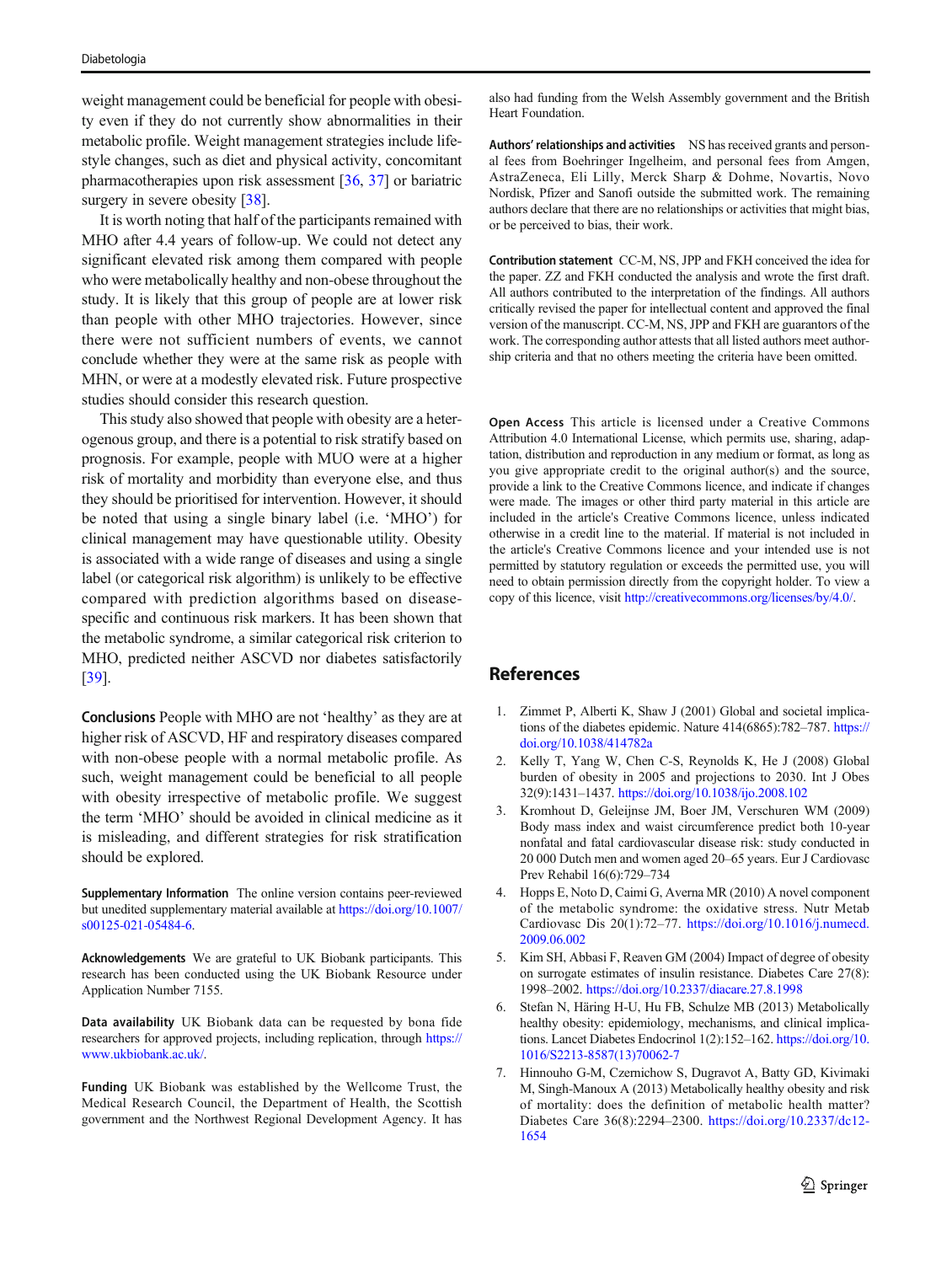<span id="page-8-0"></span>weight management could be beneficial for people with obesity even if they do not currently show abnormalities in their metabolic profile. Weight management strategies include lifestyle changes, such as diet and physical activity, concomitant pharmacotherapies upon risk assessment [\[36](#page-9-0), [37](#page-9-0)] or bariatric surgery in severe obesity [[38\]](#page-9-0).

It is worth noting that half of the participants remained with MHO after 4.4 years of follow-up. We could not detect any significant elevated risk among them compared with people who were metabolically healthy and non-obese throughout the study. It is likely that this group of people are at lower risk than people with other MHO trajectories. However, since there were not sufficient numbers of events, we cannot conclude whether they were at the same risk as people with MHN, or were at a modestly elevated risk. Future prospective studies should consider this research question.

This study also showed that people with obesity are a heterogenous group, and there is a potential to risk stratify based on prognosis. For example, people with MUO were at a higher risk of mortality and morbidity than everyone else, and thus they should be prioritised for intervention. However, it should be noted that using a single binary label (i.e. 'MHO') for clinical management may have questionable utility. Obesity is associated with a wide range of diseases and using a single label (or categorical risk algorithm) is unlikely to be effective compared with prediction algorithms based on diseasespecific and continuous risk markers. It has been shown that the metabolic syndrome, a similar categorical risk criterion to MHO, predicted neither ASCVD nor diabetes satisfactorily [\[39\]](#page-9-0).

Conclusions People with MHO are not 'healthy' as they are at higher risk of ASCVD, HF and respiratory diseases compared with non-obese people with a normal metabolic profile. As such, weight management could be beneficial to all people with obesity irrespective of metabolic profile. We suggest the term 'MHO' should be avoided in clinical medicine as it is misleading, and different strategies for risk stratification should be explored.

Supplementary Information The online version contains peer-reviewed but unedited supplementary material available at [https://doi.org/10.1007/](https://doi.org/10.1007/s00125-021-05484-6) [s00125-021-05484-6](https://doi.org/10.1007/s00125-021-05484-6).

Acknowledgements We are grateful to UK Biobank participants. This research has been conducted using the UK Biobank Resource under Application Number 7155.

Data availability UK Biobank data can be requested by bona fide researchers for approved projects, including replication, through [https://](https://doi.org/) [www.ukbiobank.ac.uk/](https://doi.org/).

Funding UK Biobank was established by the Wellcome Trust, the Medical Research Council, the Department of Health, the Scottish government and the Northwest Regional Development Agency. It has

also had funding from the Welsh Assembly government and the British Heart Foundation.

Authors' relationships and activities NS has received grants and personal fees from Boehringer Ingelheim, and personal fees from Amgen, AstraZeneca, Eli Lilly, Merck Sharp & Dohme, Novartis, Novo Nordisk, Pfizer and Sanofi outside the submitted work. The remaining authors declare that there are no relationships or activities that might bias, or be perceived to bias, their work.

Contribution statement CC-M, NS, JPP and FKH conceived the idea for the paper. ZZ and FKH conducted the analysis and wrote the first draft. All authors contributed to the interpretation of the findings. All authors critically revised the paper for intellectual content and approved the final version of the manuscript. CC-M, NS, JPP and FKH are guarantors of the work. The corresponding author attests that all listed authors meet authorship criteria and that no others meeting the criteria have been omitted.

Open Access This article is licensed under a Creative Commons Attribution 4.0 International License, which permits use, sharing, adaptation, distribution and reproduction in any medium or format, as long as you give appropriate credit to the original author(s) and the source, provide a link to the Creative Commons licence, and indicate if changes were made. The images or other third party material in this article are included in the article's Creative Commons licence, unless indicated otherwise in a credit line to the material. If material is not included in the article's Creative Commons licence and your intended use is not permitted by statutory regulation or exceeds the permitted use, you will need to obtain permission directly from the copyright holder. To view a copy of this licence, visit [http://creativecommons.org/licenses/by/4.0/.](http://creativecommons.org/licenses/by/4.0/)

## References

- 1. Zimmet P, Alberti K, Shaw J (2001) Global and societal implications of the diabetes epidemic. Nature 414(6865):782–787. [https://](https://doi.org/10.1038/414782a) [doi.org/10.1038/414782a](https://doi.org/10.1038/414782a)
- 2. Kelly T, Yang W, Chen C-S, Reynolds K, He J (2008) Global burden of obesity in 2005 and projections to 2030. Int J Obes 32(9):1431–1437. <https://doi.org/10.1038/ijo.2008.102>
- 3. Kromhout D, Geleijnse JM, Boer JM, Verschuren WM (2009) Body mass index and waist circumference predict both 10-year nonfatal and fatal cardiovascular disease risk: study conducted in 20 000 Dutch men and women aged 20–65 years. Eur J Cardiovasc Prev Rehabil 16(6):729–734
- 4. Hopps E, Noto D, Caimi G, Averna MR (2010) A novel component of the metabolic syndrome: the oxidative stress. Nutr Metab Cardiovasc Dis 20(1):72–77. [https://doi.org/10.1016/j.numecd.](https://doi.org/10.1016/j.numecd.2009.06.002) [2009.06.002](https://doi.org/10.1016/j.numecd.2009.06.002)
- 5. Kim SH, Abbasi F, Reaven GM (2004) Impact of degree of obesity on surrogate estimates of insulin resistance. Diabetes Care 27(8): 1998–2002. <https://doi.org/10.2337/diacare.27.8.1998>
- 6. Stefan N, Häring H-U, Hu FB, Schulze MB (2013) Metabolically healthy obesity: epidemiology, mechanisms, and clinical implications. Lancet Diabetes Endocrinol 1(2):152–162. [https://doi.org/10.](https://doi.org/10.1016/S2213-8587(13)70062-7) [1016/S2213-8587\(13\)70062-7](https://doi.org/10.1016/S2213-8587(13)70062-7)
- 7. Hinnouho G-M, Czernichow S, Dugravot A, Batty GD, Kivimaki M, Singh-Manoux A (2013) Metabolically healthy obesity and risk of mortality: does the definition of metabolic health matter? Diabetes Care 36(8):2294–2300. [https://doi.org/10.2337/dc12-](https://doi.org/10.2337/dc12-1654) [1654](https://doi.org/10.2337/dc12-1654)